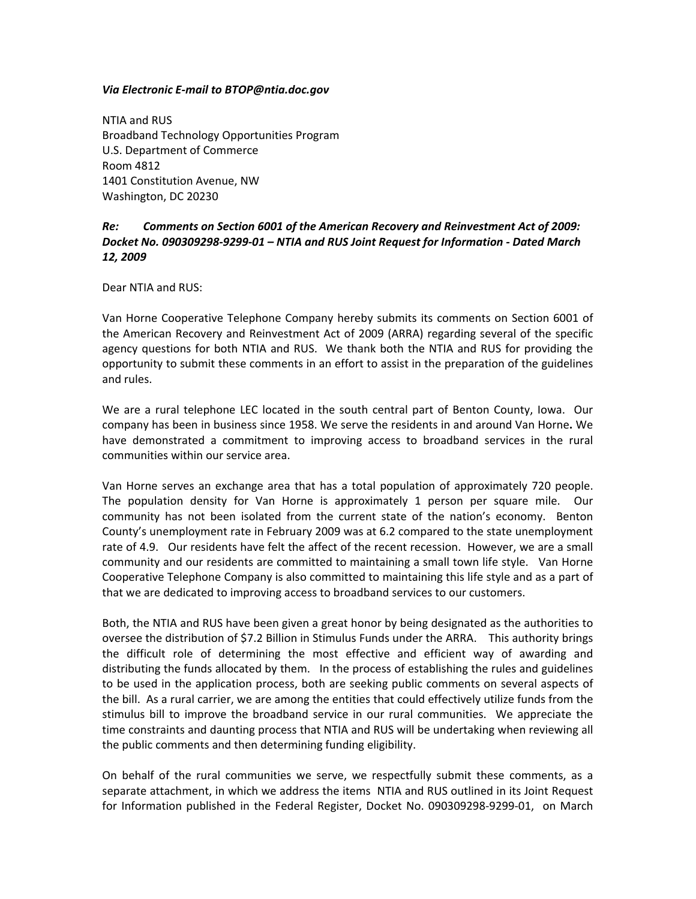## *Via Electronic E‐mail to BTOP@ntia.doc.gov*

NTIA and RUS Broadband Technology Opportunities Program U.S. Department of Commerce Room 4812 1401 Constitution Avenue, NW Washington, DC 20230

# *Re: Comments on Section 6001 of the American Recovery and Reinvestment Act of 2009: Docket No. 090309298‐9299‐01 – NTIA and RUS Joint Request for Information ‐ Dated March 12, 2009*

Dear NTIA and RUS:

Van Horne Cooperative Telephone Company hereby submits its comments on Section 6001 of the American Recovery and Reinvestment Act of 2009 (ARRA) regarding several of the specific agency questions for both NTIA and RUS. We thank both the NTIA and RUS for providing the opportunity to submit these comments in an effort to assist in the preparation of the guidelines and rules.

We are a rural telephone LEC located in the south central part of Benton County, Iowa. Our company has been in business since 1958. We serve the residents in and around Van Horne**.** We have demonstrated a commitment to improving access to broadband services in the rural communities within our service area.

Van Horne serves an exchange area that has a total population of approximately 720 people. The population density for Van Horne is approximately 1 person per square mile. Our community has not been isolated from the current state of the nation's economy. Benton County's unemployment rate in February 2009 was at 6.2 compared to the state unemployment rate of 4.9. Our residents have felt the affect of the recent recession. However, we are a small community and our residents are committed to maintaining a small town life style. Van Horne Cooperative Telephone Company is also committed to maintaining this life style and as a part of that we are dedicated to improving access to broadband services to our customers.

Both, the NTIA and RUS have been given a great honor by being designated as the authorities to oversee the distribution of \$7.2 Billion in Stimulus Funds under the ARRA. This authority brings the difficult role of determining the most effective and efficient way of awarding and distributing the funds allocated by them. In the process of establishing the rules and guidelines to be used in the application process, both are seeking public comments on several aspects of the bill. As a rural carrier, we are among the entities that could effectively utilize funds from the stimulus bill to improve the broadband service in our rural communities. We appreciate the time constraints and daunting process that NTIA and RUS will be undertaking when reviewing all the public comments and then determining funding eligibility.

On behalf of the rural communities we serve, we respectfully submit these comments, as a separate attachment, in which we address the items NTIA and RUS outlined in its Joint Request for Information published in the Federal Register, Docket No. 090309298-9299-01, on March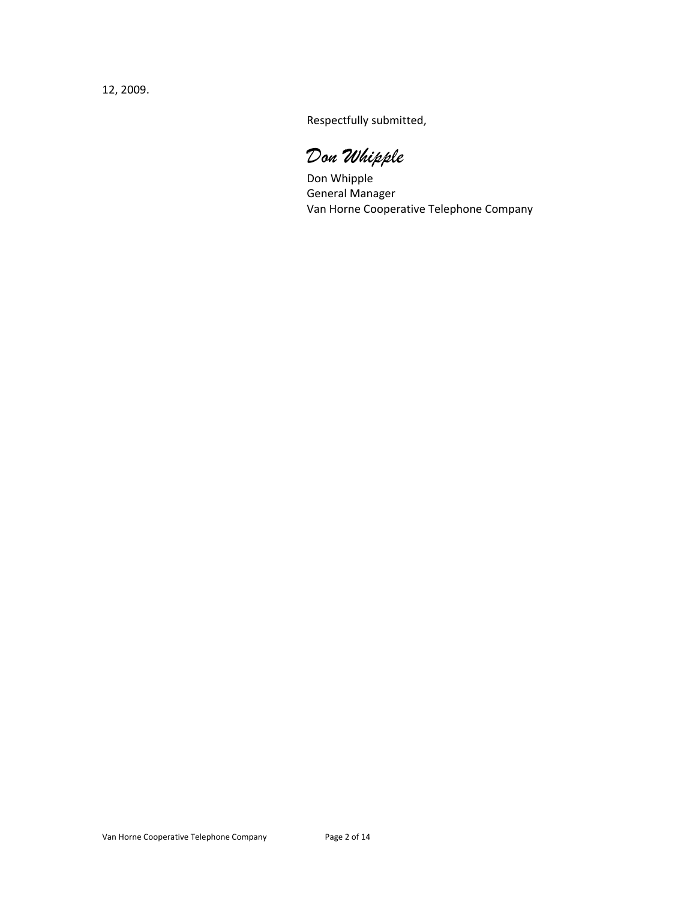12, 2009.

Respectfully submitted,

*Don Whipple* 

 Don Whipple General Manager Van Horne Cooperative Telephone Company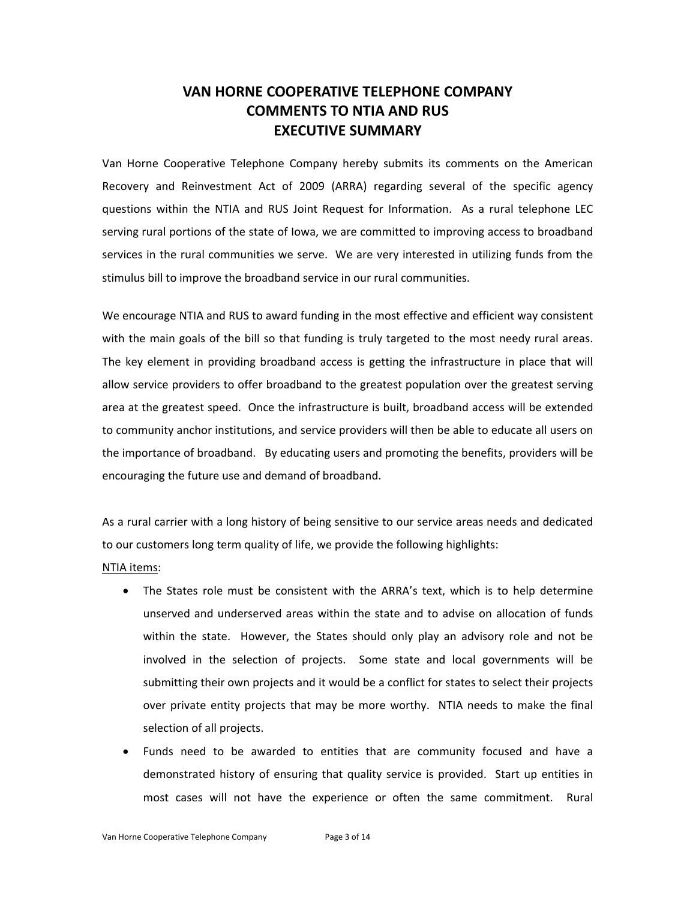# **VAN HORNE COOPERATIVE TELEPHONE COMPANY COMMENTS TO NTIA AND RUS EXECUTIVE SUMMARY**

Van Horne Cooperative Telephone Company hereby submits its comments on the American Recovery and Reinvestment Act of 2009 (ARRA) regarding several of the specific agency questions within the NTIA and RUS Joint Request for Information. As a rural telephone LEC serving rural portions of the state of Iowa, we are committed to improving access to broadband services in the rural communities we serve. We are very interested in utilizing funds from the stimulus bill to improve the broadband service in our rural communities.

We encourage NTIA and RUS to award funding in the most effective and efficient way consistent with the main goals of the bill so that funding is truly targeted to the most needy rural areas. The key element in providing broadband access is getting the infrastructure in place that will allow service providers to offer broadband to the greatest population over the greatest serving area at the greatest speed. Once the infrastructure is built, broadband access will be extended to community anchor institutions, and service providers will then be able to educate all users on the importance of broadband. By educating users and promoting the benefits, providers will be encouraging the future use and demand of broadband.

As a rural carrier with a long history of being sensitive to our service areas needs and dedicated to our customers long term quality of life, we provide the following highlights:

#### NTIA items:

- The States role must be consistent with the ARRA's text, which is to help determine unserved and underserved areas within the state and to advise on allocation of funds within the state. However, the States should only play an advisory role and not be involved in the selection of projects. Some state and local governments will be submitting their own projects and it would be a conflict for states to select their projects over private entity projects that may be more worthy. NTIA needs to make the final selection of all projects.
- Funds need to be awarded to entities that are community focused and have a demonstrated history of ensuring that quality service is provided. Start up entities in most cases will not have the experience or often the same commitment. Rural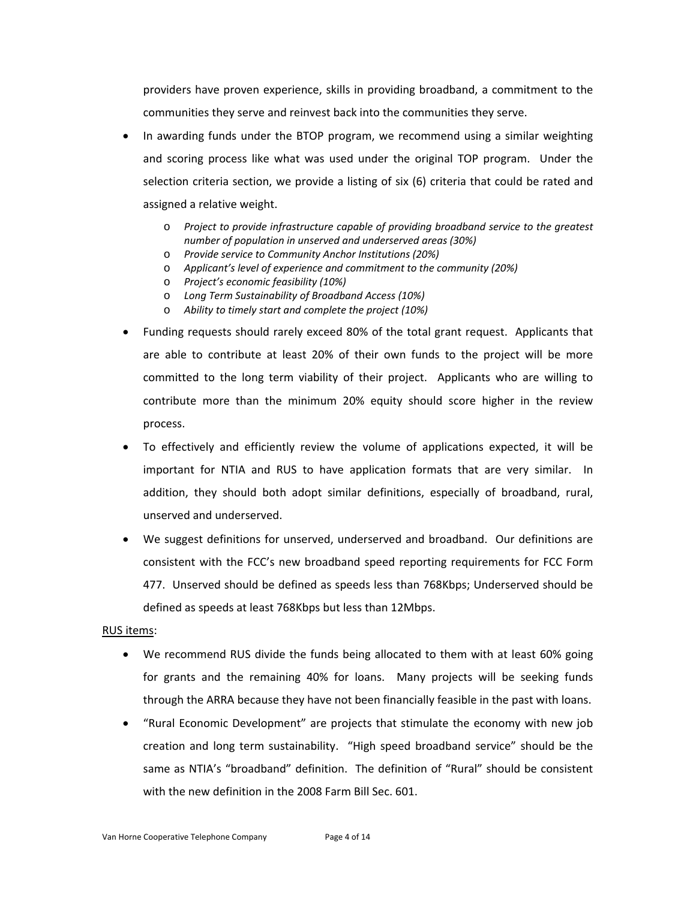providers have proven experience, skills in providing broadband, a commitment to the communities they serve and reinvest back into the communities they serve.

- In awarding funds under the BTOP program, we recommend using a similar weighting and scoring process like what was used under the original TOP program. Under the selection criteria section, we provide a listing of six (6) criteria that could be rated and assigned a relative weight.
	- o *Project to provide infrastructure capable of providing broadband service to the greatest number of population in unserved and underserved areas (30%)*
	- o *Provide service to Community Anchor Institutions (20%)*
	- o *Applicant's level of experience and commitment to the community (20%)*
	- o *Project's economic feasibility (10%)*
	- o *Long Term Sustainability of Broadband Access (10%)*
	- o *Ability to timely start and complete the project (10%)*
- Funding requests should rarely exceed 80% of the total grant request. Applicants that are able to contribute at least 20% of their own funds to the project will be more committed to the long term viability of their project. Applicants who are willing to contribute more than the minimum 20% equity should score higher in the review process.
- To effectively and efficiently review the volume of applications expected, it will be important for NTIA and RUS to have application formats that are very similar. In addition, they should both adopt similar definitions, especially of broadband, rural, unserved and underserved.
- We suggest definitions for unserved, underserved and broadband. Our definitions are consistent with the FCC's new broadband speed reporting requirements for FCC Form 477. Unserved should be defined as speeds less than 768Kbps; Underserved should be defined as speeds at least 768Kbps but less than 12Mbps.

#### RUS items:

- We recommend RUS divide the funds being allocated to them with at least 60% going for grants and the remaining 40% for loans. Many projects will be seeking funds through the ARRA because they have not been financially feasible in the past with loans.
- "Rural Economic Development" are projects that stimulate the economy with new job creation and long term sustainability. "High speed broadband service" should be the same as NTIA's "broadband" definition. The definition of "Rural" should be consistent with the new definition in the 2008 Farm Bill Sec. 601.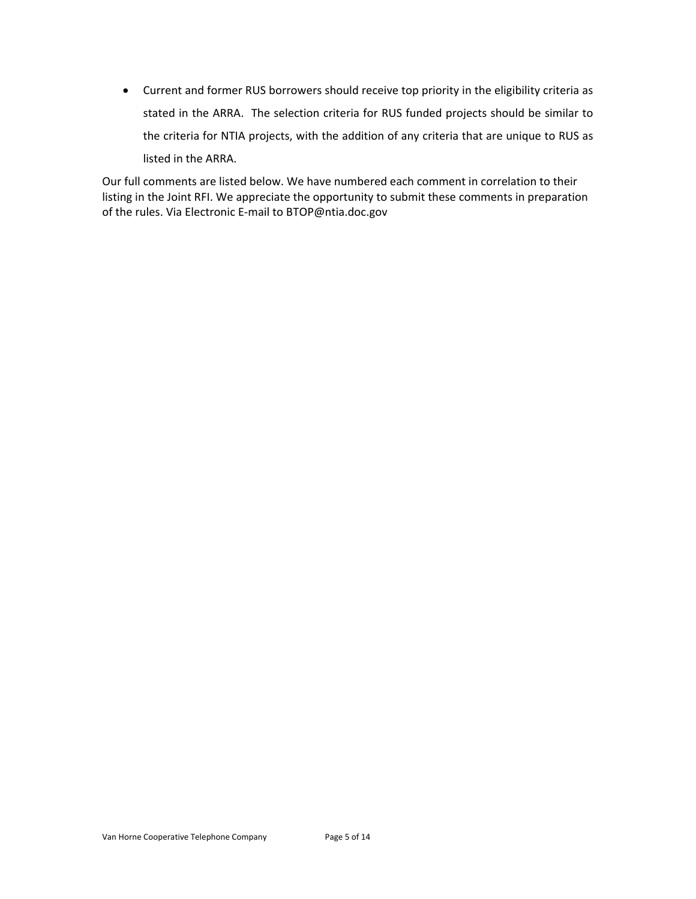• Current and former RUS borrowers should receive top priority in the eligibility criteria as stated in the ARRA. The selection criteria for RUS funded projects should be similar to the criteria for NTIA projects, with the addition of any criteria that are unique to RUS as listed in the ARRA.

Our full comments are listed below. We have numbered each comment in correlation to their listing in the Joint RFI. We appreciate the opportunity to submit these comments in preparation of the rules. Via Electronic E‐mail to BTOP@ntia.doc.gov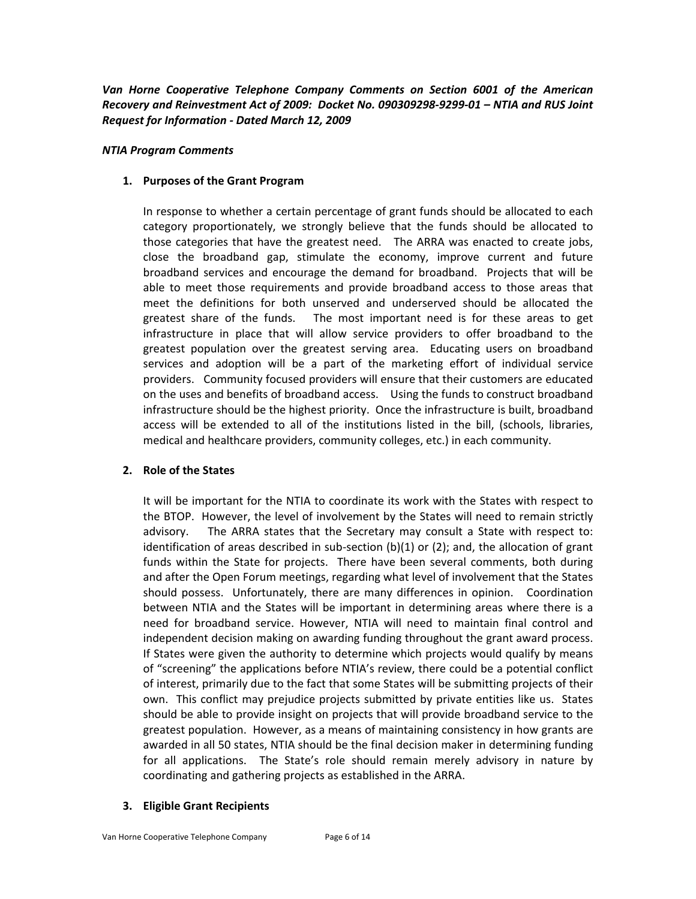*Van Horne Cooperative Telephone Company Comments on Section 6001 of the American Recovery and Reinvestment Act of 2009: Docket No. 090309298‐9299‐01 – NTIA and RUS Joint Request for Information ‐ Dated March 12, 2009*

#### *NTIA Program Comments*

# **1. Purposes of the Grant Program**

In response to whether a certain percentage of grant funds should be allocated to each category proportionately, we strongly believe that the funds should be allocated to those categories that have the greatest need. The ARRA was enacted to create jobs, close the broadband gap, stimulate the economy, improve current and future broadband services and encourage the demand for broadband. Projects that will be able to meet those requirements and provide broadband access to those areas that meet the definitions for both unserved and underserved should be allocated the greatest share of the funds. The most important need is for these areas to get infrastructure in place that will allow service providers to offer broadband to the greatest population over the greatest serving area. Educating users on broadband services and adoption will be a part of the marketing effort of individual service providers. Community focused providers will ensure that their customers are educated on the uses and benefits of broadband access. Using the funds to construct broadband infrastructure should be the highest priority. Once the infrastructure is built, broadband access will be extended to all of the institutions listed in the bill, (schools, libraries, medical and healthcare providers, community colleges, etc.) in each community.

# **2. Role of the States**

It will be important for the NTIA to coordinate its work with the States with respect to the BTOP. However, the level of involvement by the States will need to remain strictly advisory. The ARRA states that the Secretary may consult a State with respect to: identification of areas described in sub-section (b)(1) or (2); and, the allocation of grant funds within the State for projects. There have been several comments, both during and after the Open Forum meetings, regarding what level of involvement that the States should possess. Unfortunately, there are many differences in opinion. Coordination between NTIA and the States will be important in determining areas where there is a need for broadband service. However, NTIA will need to maintain final control and independent decision making on awarding funding throughout the grant award process. If States were given the authority to determine which projects would qualify by means of "screening" the applications before NTIA's review, there could be a potential conflict of interest, primarily due to the fact that some States will be submitting projects of their own. This conflict may prejudice projects submitted by private entities like us. States should be able to provide insight on projects that will provide broadband service to the greatest population. However, as a means of maintaining consistency in how grants are awarded in all 50 states, NTIA should be the final decision maker in determining funding for all applications. The State's role should remain merely advisory in nature by coordinating and gathering projects as established in the ARRA.

# **3. Eligible Grant Recipients**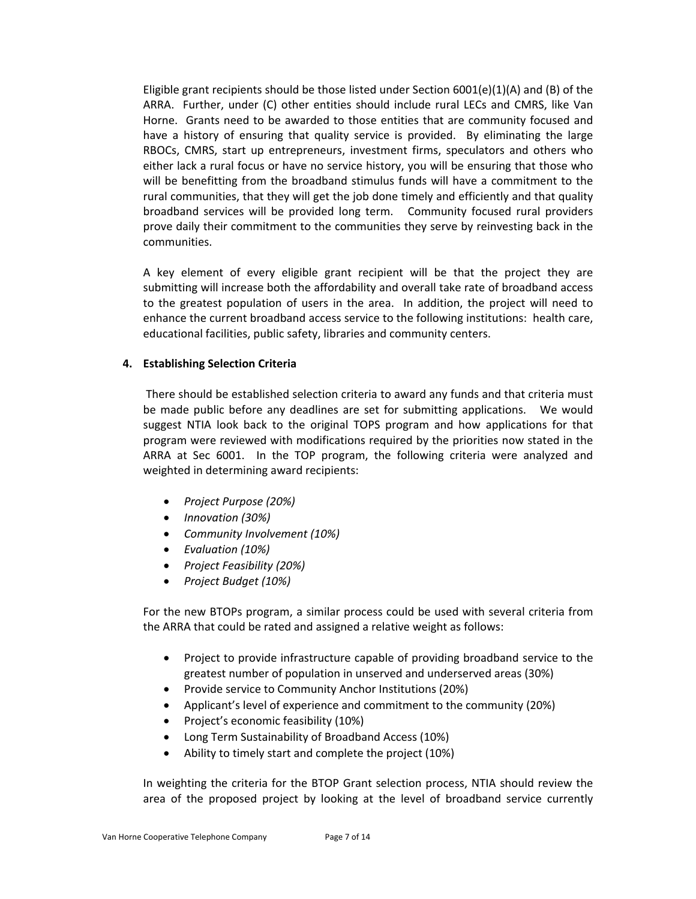Eligible grant recipients should be those listed under Section  $6001(e)(1)(A)$  and (B) of the ARRA. Further, under (C) other entities should include rural LECs and CMRS, like Van Horne. Grants need to be awarded to those entities that are community focused and have a history of ensuring that quality service is provided. By eliminating the large RBOCs, CMRS, start up entrepreneurs, investment firms, speculators and others who either lack a rural focus or have no service history, you will be ensuring that those who will be benefitting from the broadband stimulus funds will have a commitment to the rural communities, that they will get the job done timely and efficiently and that quality broadband services will be provided long term. Community focused rural providers prove daily their commitment to the communities they serve by reinvesting back in the communities.

A key element of every eligible grant recipient will be that the project they are submitting will increase both the affordability and overall take rate of broadband access to the greatest population of users in the area. In addition, the project will need to enhance the current broadband access service to the following institutions: health care, educational facilities, public safety, libraries and community centers.

## **4. Establishing Selection Criteria**

There should be established selection criteria to award any funds and that criteria must be made public before any deadlines are set for submitting applications. We would suggest NTIA look back to the original TOPS program and how applications for that program were reviewed with modifications required by the priorities now stated in the ARRA at Sec 6001. In the TOP program, the following criteria were analyzed and weighted in determining award recipients:

- *Project Purpose (20%)*
- *Innovation (30%)*
- *Community Involvement (10%)*
- *Evaluation (10%)*
- *Project Feasibility (20%)*
- *Project Budget (10%)*

For the new BTOPs program, a similar process could be used with several criteria from the ARRA that could be rated and assigned a relative weight as follows:

- Project to provide infrastructure capable of providing broadband service to the greatest number of population in unserved and underserved areas (30%)
- Provide service to Community Anchor Institutions (20%)
- Applicant's level of experience and commitment to the community (20%)
- Project's economic feasibility (10%)
- Long Term Sustainability of Broadband Access (10%)
- Ability to timely start and complete the project (10%)

In weighting the criteria for the BTOP Grant selection process, NTIA should review the area of the proposed project by looking at the level of broadband service currently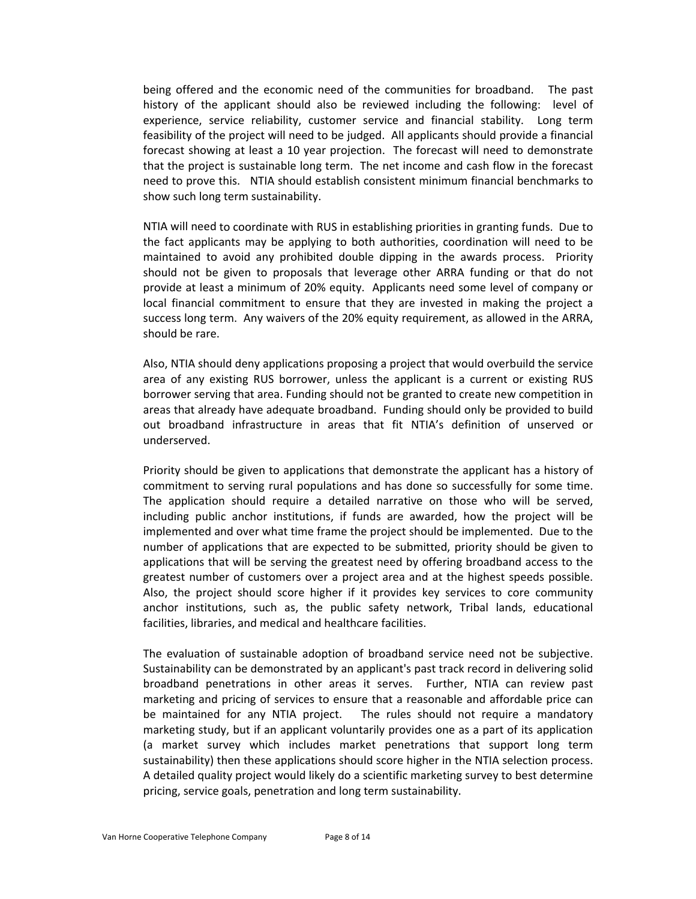being offered and the economic need of the communities for broadband. The past history of the applicant should also be reviewed including the following: level of experience, service reliability, customer service and financial stability. Long term feasibility of the project will need to be judged. All applicants should provide a financial forecast showing at least a 10 year projection. The forecast will need to demonstrate that the project is sustainable long term. The net income and cash flow in the forecast need to prove this. NTIA should establish consistent minimum financial benchmarks to show such long term sustainability.

NTIA will need to coordinate with RUS in establishing priorities in granting funds. Due to the fact applicants may be applying to both authorities, coordination will need to be maintained to avoid any prohibited double dipping in the awards process. Priority should not be given to proposals that leverage other ARRA funding or that do not provide at least a minimum of 20% equity. Applicants need some level of company or local financial commitment to ensure that they are invested in making the project a success long term. Any waivers of the 20% equity requirement, as allowed in the ARRA, should be rare.

Also, NTIA should deny applications proposing a project that would overbuild the service area of any existing RUS borrower, unless the applicant is a current or existing RUS borrower serving that area. Funding should not be granted to create new competition in areas that already have adequate broadband. Funding should only be provided to build out broadband infrastructure in areas that fit NTIA's definition of unserved or underserved.

Priority should be given to applications that demonstrate the applicant has a history of commitment to serving rural populations and has done so successfully for some time. The application should require a detailed narrative on those who will be served, including public anchor institutions, if funds are awarded, how the project will be implemented and over what time frame the project should be implemented. Due to the number of applications that are expected to be submitted, priority should be given to applications that will be serving the greatest need by offering broadband access to the greatest number of customers over a project area and at the highest speeds possible. Also, the project should score higher if it provides key services to core community anchor institutions, such as, the public safety network, Tribal lands, educational facilities, libraries, and medical and healthcare facilities.

The evaluation of sustainable adoption of broadband service need not be subjective. Sustainability can be demonstrated by an applicant's past track record in delivering solid broadband penetrations in other areas it serves. Further, NTIA can review past marketing and pricing of services to ensure that a reasonable and affordable price can be maintained for any NTIA project. The rules should not require a mandatory marketing study, but if an applicant voluntarily provides one as a part of its application (a market survey which includes market penetrations that support long term sustainability) then these applications should score higher in the NTIA selection process. A detailed quality project would likely do a scientific marketing survey to best determine pricing, service goals, penetration and long term sustainability.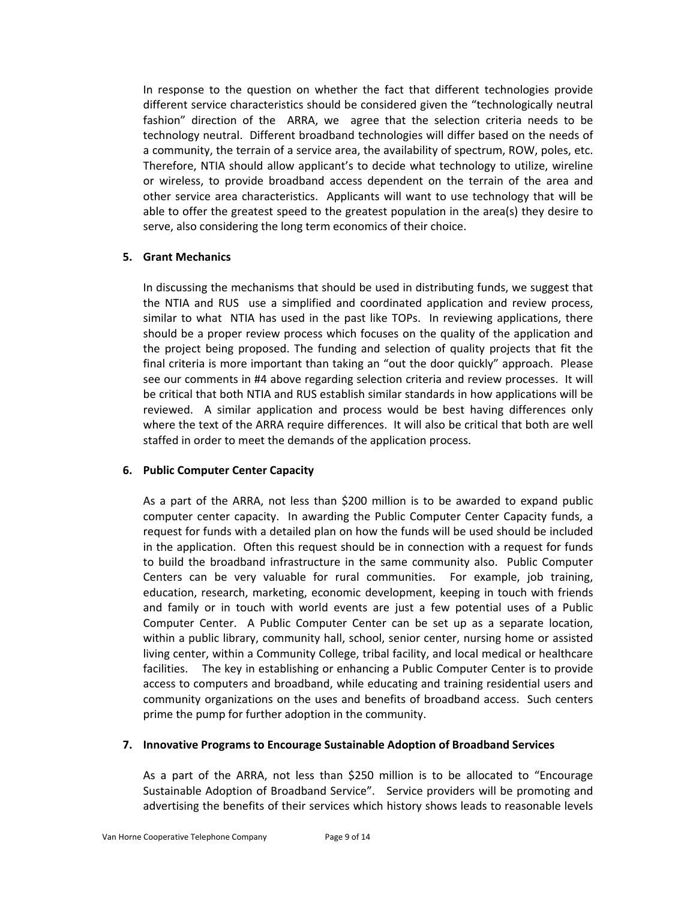In response to the question on whether the fact that different technologies provide different service characteristics should be considered given the "technologically neutral fashion" direction of the ARRA, we agree that the selection criteria needs to be technology neutral. Different broadband technologies will differ based on the needs of a community, the terrain of a service area, the availability of spectrum, ROW, poles, etc. Therefore, NTIA should allow applicant's to decide what technology to utilize, wireline or wireless, to provide broadband access dependent on the terrain of the area and other service area characteristics. Applicants will want to use technology that will be able to offer the greatest speed to the greatest population in the area(s) they desire to serve, also considering the long term economics of their choice.

## **5. Grant Mechanics**

In discussing the mechanisms that should be used in distributing funds, we suggest that the NTIA and RUS use a simplified and coordinated application and review process, similar to what NTIA has used in the past like TOPs. In reviewing applications, there should be a proper review process which focuses on the quality of the application and the project being proposed. The funding and selection of quality projects that fit the final criteria is more important than taking an "out the door quickly" approach. Please see our comments in #4 above regarding selection criteria and review processes. It will be critical that both NTIA and RUS establish similar standards in how applications will be reviewed. A similar application and process would be best having differences only where the text of the ARRA require differences. It will also be critical that both are well staffed in order to meet the demands of the application process.

# **6. Public Computer Center Capacity**

As a part of the ARRA, not less than \$200 million is to be awarded to expand public computer center capacity. In awarding the Public Computer Center Capacity funds, a request for funds with a detailed plan on how the funds will be used should be included in the application. Often this request should be in connection with a request for funds to build the broadband infrastructure in the same community also. Public Computer Centers can be very valuable for rural communities. For example, job training, education, research, marketing, economic development, keeping in touch with friends and family or in touch with world events are just a few potential uses of a Public Computer Center. A Public Computer Center can be set up as a separate location, within a public library, community hall, school, senior center, nursing home or assisted living center, within a Community College, tribal facility, and local medical or healthcare facilities. The key in establishing or enhancing a Public Computer Center is to provide access to computers and broadband, while educating and training residential users and community organizations on the uses and benefits of broadband access. Such centers prime the pump for further adoption in the community.

#### **7. Innovative Programs to Encourage Sustainable Adoption of Broadband Services**

As a part of the ARRA, not less than \$250 million is to be allocated to "Encourage Sustainable Adoption of Broadband Service". Service providers will be promoting and advertising the benefits of their services which history shows leads to reasonable levels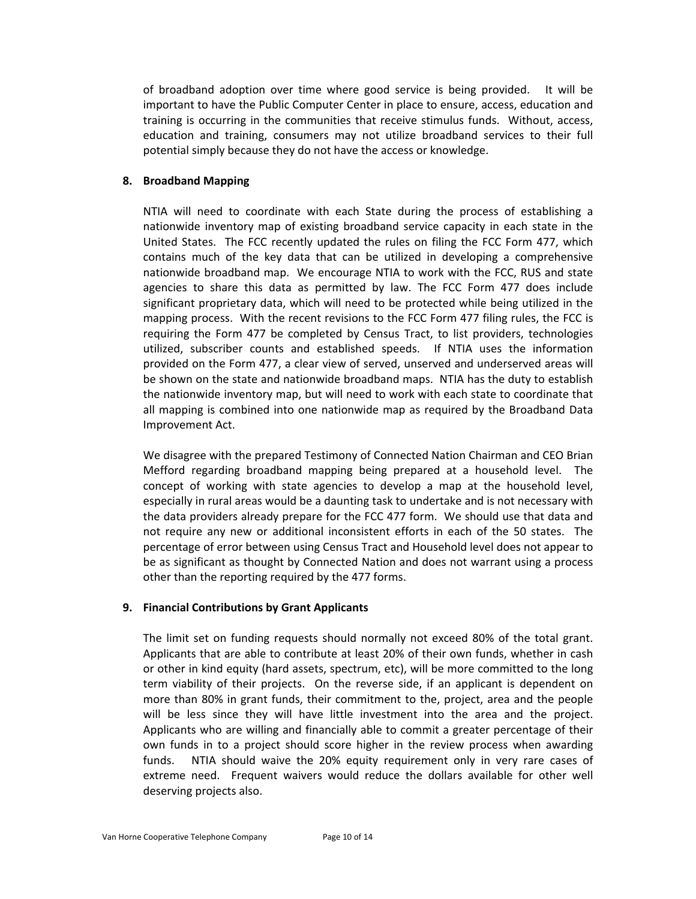of broadband adoption over time where good service is being provided. It will be important to have the Public Computer Center in place to ensure, access, education and training is occurring in the communities that receive stimulus funds. Without, access, education and training, consumers may not utilize broadband services to their full potential simply because they do not have the access or knowledge.

# **8. Broadband Mapping**

NTIA will need to coordinate with each State during the process of establishing a nationwide inventory map of existing broadband service capacity in each state in the United States. The FCC recently updated the rules on filing the FCC Form 477, which contains much of the key data that can be utilized in developing a comprehensive nationwide broadband map. We encourage NTIA to work with the FCC, RUS and state agencies to share this data as permitted by law. The FCC Form 477 does include significant proprietary data, which will need to be protected while being utilized in the mapping process. With the recent revisions to the FCC Form 477 filing rules, the FCC is requiring the Form 477 be completed by Census Tract, to list providers, technologies utilized, subscriber counts and established speeds. If NTIA uses the information provided on the Form 477, a clear view of served, unserved and underserved areas will be shown on the state and nationwide broadband maps. NTIA has the duty to establish the nationwide inventory map, but will need to work with each state to coordinate that all mapping is combined into one nationwide map as required by the Broadband Data Improvement Act.

We disagree with the prepared Testimony of Connected Nation Chairman and CEO Brian Mefford regarding broadband mapping being prepared at a household level. The concept of working with state agencies to develop a map at the household level, especially in rural areas would be a daunting task to undertake and is not necessary with the data providers already prepare for the FCC 477 form. We should use that data and not require any new or additional inconsistent efforts in each of the 50 states. The percentage of error between using Census Tract and Household level does not appear to be as significant as thought by Connected Nation and does not warrant using a process other than the reporting required by the 477 forms.

#### **9. Financial Contributions by Grant Applicants**

The limit set on funding requests should normally not exceed 80% of the total grant. Applicants that are able to contribute at least 20% of their own funds, whether in cash or other in kind equity (hard assets, spectrum, etc), will be more committed to the long term viability of their projects. On the reverse side, if an applicant is dependent on more than 80% in grant funds, their commitment to the, project, area and the people will be less since they will have little investment into the area and the project. Applicants who are willing and financially able to commit a greater percentage of their own funds in to a project should score higher in the review process when awarding funds. NTIA should waive the 20% equity requirement only in very rare cases of extreme need. Frequent waivers would reduce the dollars available for other well deserving projects also.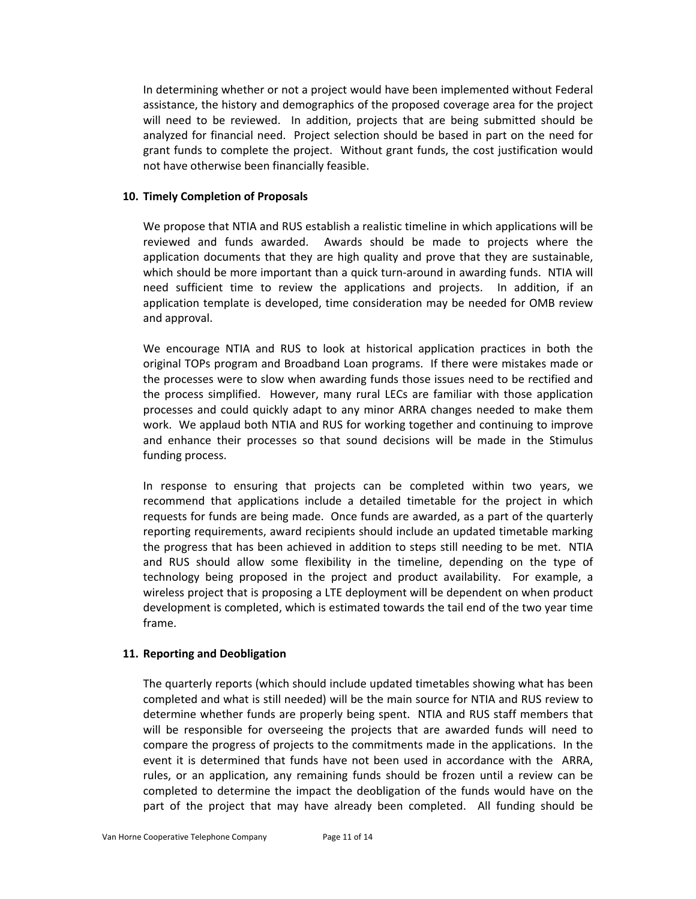In determining whether or not a project would have been implemented without Federal assistance, the history and demographics of the proposed coverage area for the project will need to be reviewed. In addition, projects that are being submitted should be analyzed for financial need. Project selection should be based in part on the need for grant funds to complete the project. Without grant funds, the cost justification would not have otherwise been financially feasible.

#### **10. Timely Completion of Proposals**

We propose that NTIA and RUS establish a realistic timeline in which applications will be reviewed and funds awarded. Awards should be made to projects where the application documents that they are high quality and prove that they are sustainable, which should be more important than a quick turn-around in awarding funds. NTIA will need sufficient time to review the applications and projects. In addition, if an application template is developed, time consideration may be needed for OMB review and approval.

We encourage NTIA and RUS to look at historical application practices in both the original TOPs program and Broadband Loan programs. If there were mistakes made or the processes were to slow when awarding funds those issues need to be rectified and the process simplified. However, many rural LECs are familiar with those application processes and could quickly adapt to any minor ARRA changes needed to make them work. We applaud both NTIA and RUS for working together and continuing to improve and enhance their processes so that sound decisions will be made in the Stimulus funding process.

In response to ensuring that projects can be completed within two years, we recommend that applications include a detailed timetable for the project in which requests for funds are being made. Once funds are awarded, as a part of the quarterly reporting requirements, award recipients should include an updated timetable marking the progress that has been achieved in addition to steps still needing to be met. NTIA and RUS should allow some flexibility in the timeline, depending on the type of technology being proposed in the project and product availability. For example, a wireless project that is proposing a LTE deployment will be dependent on when product development is completed, which is estimated towards the tail end of the two year time frame.

#### **11. Reporting and Deobligation**

The quarterly reports (which should include updated timetables showing what has been completed and what is still needed) will be the main source for NTIA and RUS review to determine whether funds are properly being spent. NTIA and RUS staff members that will be responsible for overseeing the projects that are awarded funds will need to compare the progress of projects to the commitments made in the applications. In the event it is determined that funds have not been used in accordance with the ARRA, rules, or an application, any remaining funds should be frozen until a review can be completed to determine the impact the deobligation of the funds would have on the part of the project that may have already been completed. All funding should be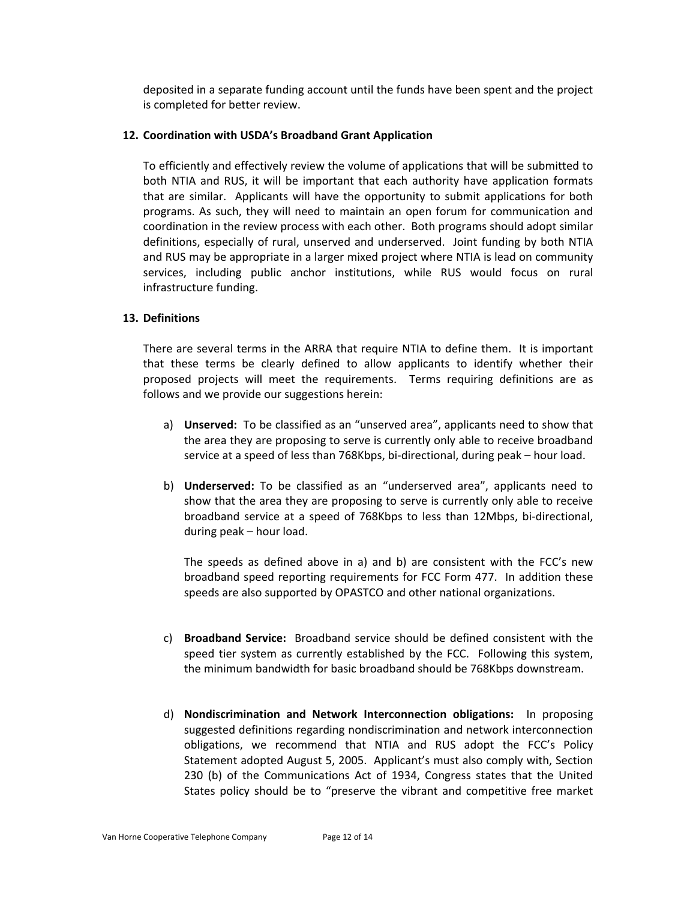deposited in a separate funding account until the funds have been spent and the project is completed for better review.

#### **12. Coordination with USDA's Broadband Grant Application**

To efficiently and effectively review the volume of applications that will be submitted to both NTIA and RUS, it will be important that each authority have application formats that are similar. Applicants will have the opportunity to submit applications for both programs. As such, they will need to maintain an open forum for communication and coordination in the review process with each other. Both programs should adopt similar definitions, especially of rural, unserved and underserved. Joint funding by both NTIA and RUS may be appropriate in a larger mixed project where NTIA is lead on community services, including public anchor institutions, while RUS would focus on rural infrastructure funding.

## **13. Definitions**

There are several terms in the ARRA that require NTIA to define them. It is important that these terms be clearly defined to allow applicants to identify whether their proposed projects will meet the requirements. Terms requiring definitions are as follows and we provide our suggestions herein:

- a) **Unserved:** To be classified as an "unserved area", applicants need to show that the area they are proposing to serve is currently only able to receive broadband service at a speed of less than 768Kbps, bi-directional, during peak – hour load.
- b) **Underserved:** To be classified as an "underserved area", applicants need to show that the area they are proposing to serve is currently only able to receive broadband service at a speed of 768Kbps to less than 12Mbps, bi‐directional, during peak – hour load.

The speeds as defined above in a) and b) are consistent with the FCC's new broadband speed reporting requirements for FCC Form 477. In addition these speeds are also supported by OPASTCO and other national organizations.

- c) **Broadband Service:** Broadband service should be defined consistent with the speed tier system as currently established by the FCC. Following this system, the minimum bandwidth for basic broadband should be 768Kbps downstream.
- d) **Nondiscrimination and Network Interconnection obligations:**  In proposing suggested definitions regarding nondiscrimination and network interconnection obligations, we recommend that NTIA and RUS adopt the FCC's Policy Statement adopted August 5, 2005. Applicant's must also comply with, Section 230 (b) of the Communications Act of 1934, Congress states that the United States policy should be to "preserve the vibrant and competitive free market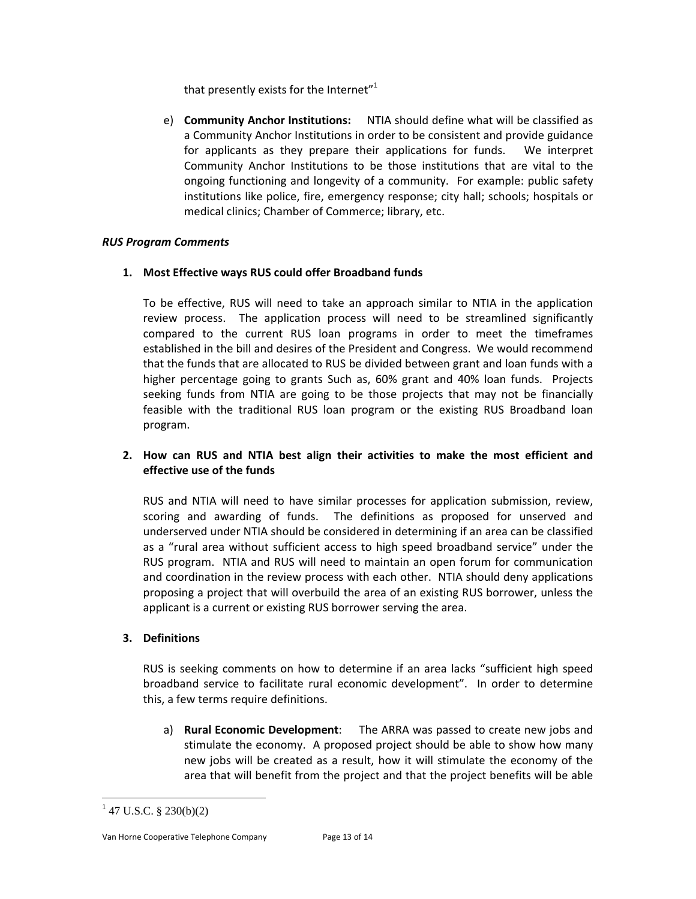that presently exists for the Internet" $1$ 

e) **Community Anchor Institutions:**  NTIA should define what will be classified as a Community Anchor Institutions in order to be consistent and provide guidance for applicants as they prepare their applications for funds. We interpret Community Anchor Institutions to be those institutions that are vital to the ongoing functioning and longevity of a community. For example: public safety institutions like police, fire, emergency response; city hall; schools; hospitals or medical clinics; Chamber of Commerce; library, etc.

# *RUS Program Comments*

## **1. Most Effective ways RUS could offer Broadband funds**

To be effective, RUS will need to take an approach similar to NTIA in the application review process. The application process will need to be streamlined significantly compared to the current RUS loan programs in order to meet the timeframes established in the bill and desires of the President and Congress. We would recommend that the funds that are allocated to RUS be divided between grant and loan funds with a higher percentage going to grants Such as, 60% grant and 40% loan funds. Projects seeking funds from NTIA are going to be those projects that may not be financially feasible with the traditional RUS loan program or the existing RUS Broadband loan program.

# **2. How can RUS and NTIA best align their activities to make the most efficient and effective use of the funds**

RUS and NTIA will need to have similar processes for application submission, review, scoring and awarding of funds. The definitions as proposed for unserved and underserved under NTIA should be considered in determining if an area can be classified as a "rural area without sufficient access to high speed broadband service" under the RUS program. NTIA and RUS will need to maintain an open forum for communication and coordination in the review process with each other. NTIA should deny applications proposing a project that will overbuild the area of an existing RUS borrower, unless the applicant is a current or existing RUS borrower serving the area.

# **3. Definitions**

RUS is seeking comments on how to determine if an area lacks "sufficient high speed broadband service to facilitate rural economic development". In order to determine this, a few terms require definitions.

a) **Rural Economic Development**: The ARRA was passed to create new jobs and stimulate the economy. A proposed project should be able to show how many new jobs will be created as a result, how it will stimulate the economy of the area that will benefit from the project and that the project benefits will be able

 $\overline{a}$ 

Van Horne Cooperative Telephone Company Page 13 of 14

 $1$  47 U.S.C. § 230(b)(2)